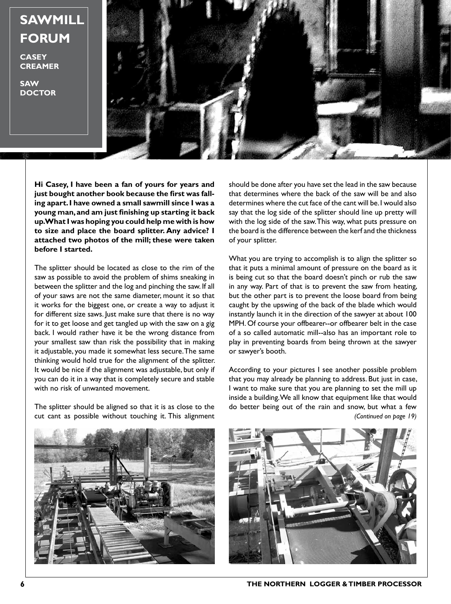**SAWMILL FORUM**

**CASEY CREAMER**

**SAW DOCTOR**



**Hi Casey, I have been a fan of yours for years and just bought another book because the first was falling apart. I have owned a small sawmill since I was a young man, and am just finishing up starting it back up. What I was hoping you could help me with is how to size and place the board splitter. Any advice? I attached two photos of the mill; these were taken before I started.**

The splitter should be located as close to the rim of the saw as possible to avoid the problem of shims sneaking in between the splitter and the log and pinching the saw. If all of your saws are not the same diameter, mount it so that it works for the biggest one, or create a way to adjust it for different size saws. Just make sure that there is no way for it to get loose and get tangled up with the saw on a gig back. I would rather have it be the wrong distance from your smallest saw than risk the possibility that in making it adjustable, you made it somewhat less secure. The same thinking would hold true for the alignment of the splitter. It would be nice if the alignment was adjustable, but only if you can do it in a way that is completely secure and stable with no risk of unwanted movement.

The splitter should be aligned so that it is as close to the cut cant as possible without touching it. This alignment

should be done after you have set the lead in the saw because that determines where the back of the saw will be and also determines where the cut face of the cant will be. I would also say that the log side of the splitter should line up pretty will with the log side of the saw. This way, what puts pressure on the board is the difference between the kerf and the thickness of your splitter.

What you are trying to accomplish is to align the splitter so that it puts a minimal amount of pressure on the board as it is being cut so that the board doesn't pinch or rub the saw in any way. Part of that is to prevent the saw from heating, but the other part is to prevent the loose board from being caught by the upswing of the back of the blade which would instantly launch it in the direction of the sawyer at about 100 MPH. Of course your offbearer--or offbearer belt in the case of a so called automatic mill--also has an important role to play in preventing boards from being thrown at the sawyer or sawyer's booth.

According to your pictures I see another possible problem that you may already be planning to address. But just in case, I want to make sure that you are planning to set the mill up inside a building. We all know that equipment like that would do better being out of the rain and snow, but what a few *(Continued on page 19)*